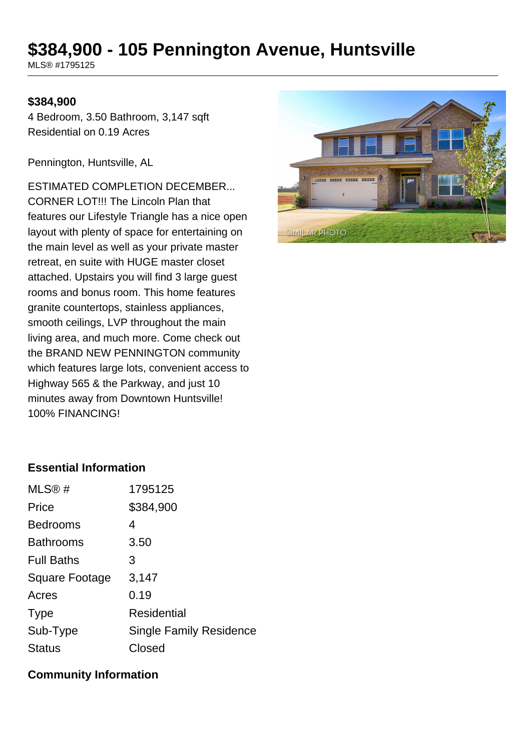# **\$384,900 - 105 Pennington Avenue, Huntsville**

MLS® #1795125

#### **\$384,900**

4 Bedroom, 3.50 Bathroom, 3,147 sqft Residential on 0.19 Acres

Pennington, Huntsville, AL

ESTIMATED COMPLETION DECEMBER... CORNER LOT!!! The Lincoln Plan that features our Lifestyle Triangle has a nice open layout with plenty of space for entertaining on the main level as well as your private master retreat, en suite with HUGE master closet attached. Upstairs you will find 3 large guest rooms and bonus room. This home features granite countertops, stainless appliances, smooth ceilings, LVP throughout the main living area, and much more. Come check out the BRAND NEW PENNINGTON community which features large lots, convenient access to Highway 565 & the Parkway, and just 10 minutes away from Downtown Huntsville! 100% FINANCING!



## **Essential Information**

| MLS@#             | 1795125                        |
|-------------------|--------------------------------|
| Price             | \$384,900                      |
| <b>Bedrooms</b>   | 4                              |
| <b>Bathrooms</b>  | 3.50                           |
| <b>Full Baths</b> | 3                              |
| Square Footage    | 3,147                          |
| Acres             | 0.19                           |
| <b>Type</b>       | Residential                    |
| Sub-Type          | <b>Single Family Residence</b> |
| <b>Status</b>     | Closed                         |

#### **Community Information**